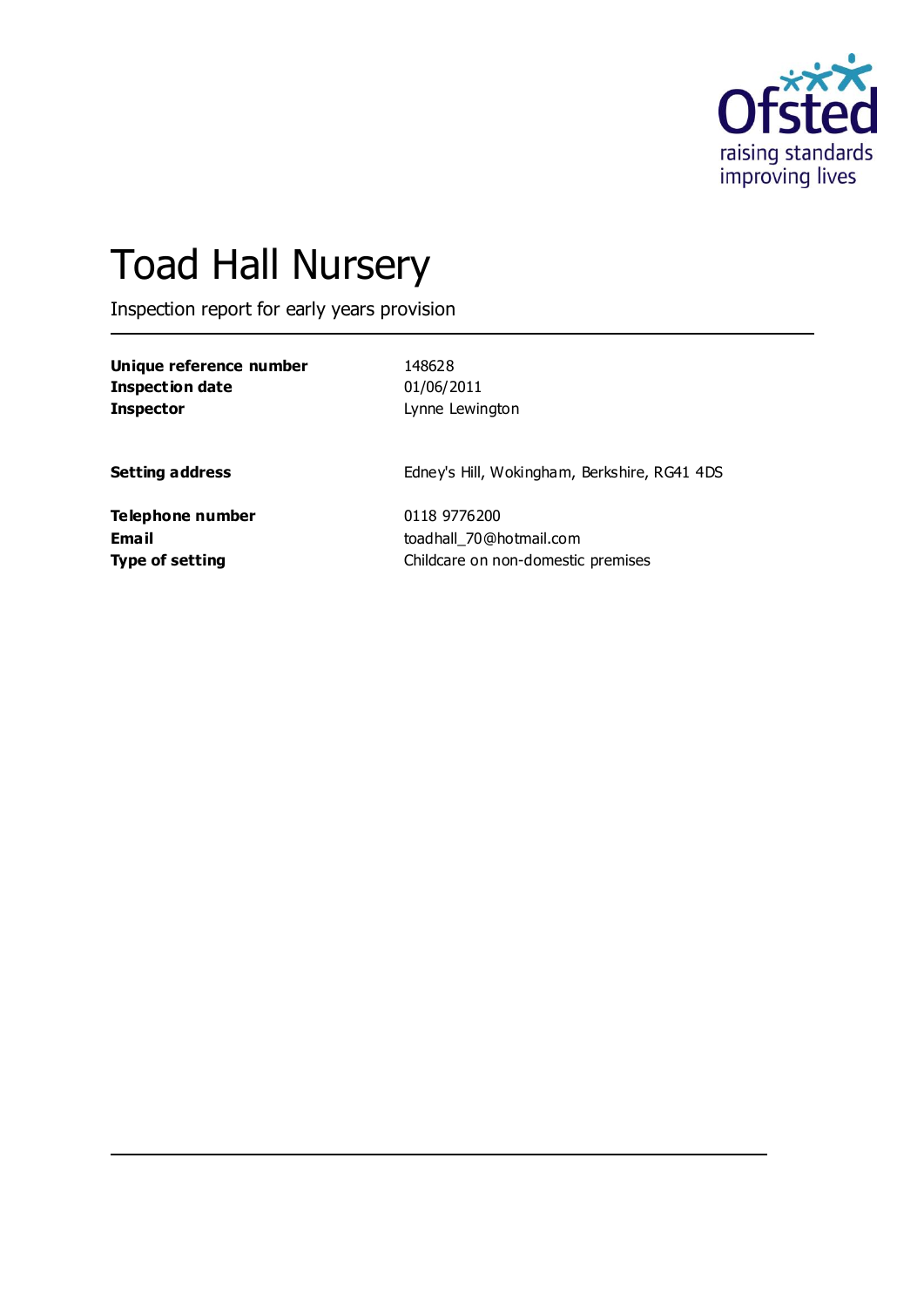

# Toad Hall Nursery

Inspection report for early years provision

| Unique reference number | 148628          |
|-------------------------|-----------------|
| Inspection date         | 01/06/2011      |
| <b>Inspector</b>        | Lynne Lewington |

**Setting address** Edney's Hill, Wokingham, Berkshire, RG41 4DS

**Telephone number** 0118 9776200

**Email** toadhall\_70@hotmail.com **Type of setting** Childcare on non-domestic premises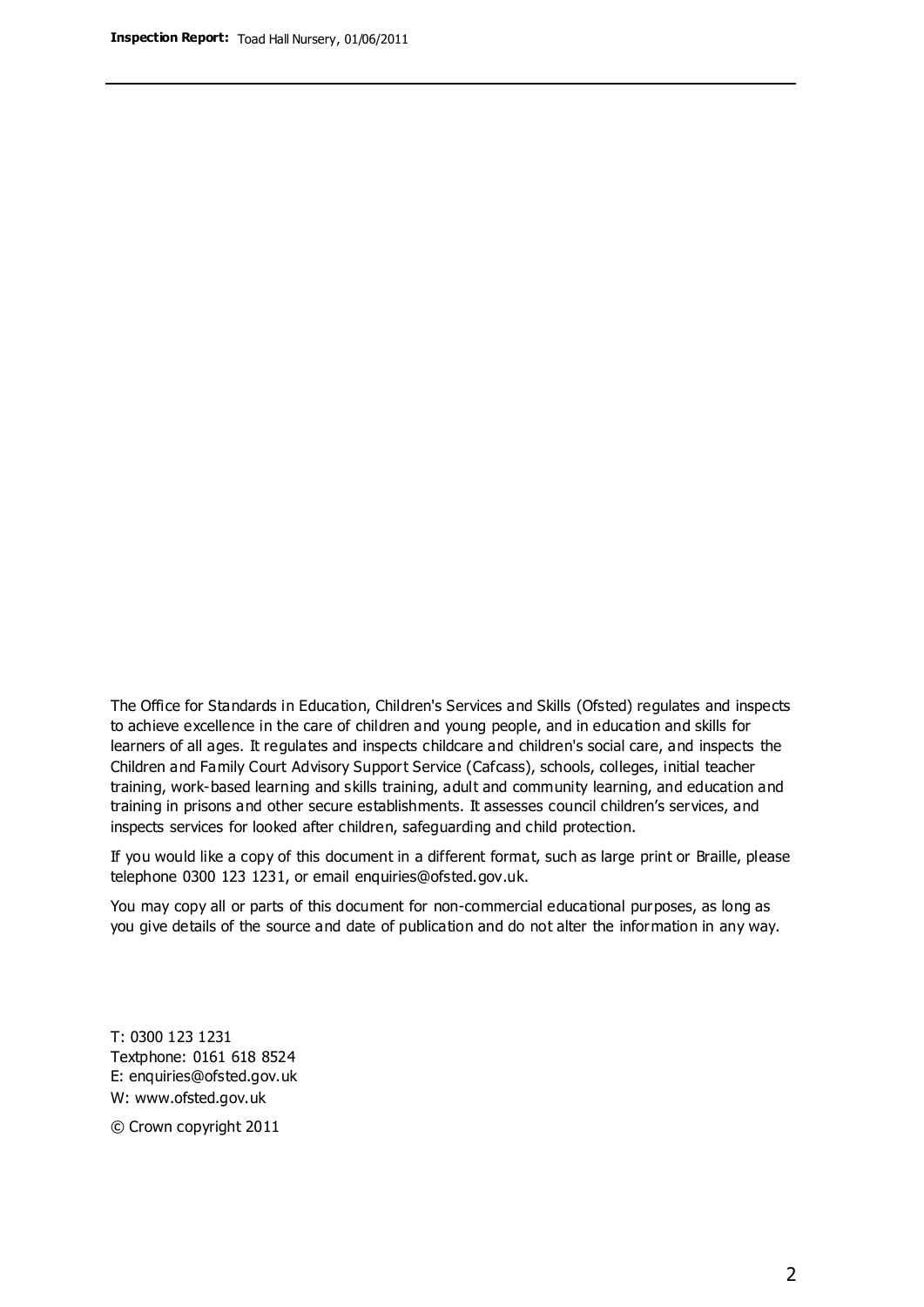The Office for Standards in Education, Children's Services and Skills (Ofsted) regulates and inspects to achieve excellence in the care of children and young people, and in education and skills for learners of all ages. It regulates and inspects childcare and children's social care, and inspects the Children and Family Court Advisory Support Service (Cafcass), schools, colleges, initial teacher training, work-based learning and skills training, adult and community learning, and education and training in prisons and other secure establishments. It assesses council children's services, and inspects services for looked after children, safeguarding and child protection.

If you would like a copy of this document in a different format, such as large print or Braille, please telephone 0300 123 1231, or email enquiries@ofsted.gov.uk.

You may copy all or parts of this document for non-commercial educational purposes, as long as you give details of the source and date of publication and do not alter the information in any way.

T: 0300 123 1231 Textphone: 0161 618 8524 E: enquiries@ofsted.gov.uk W: [www.ofsted.gov.uk](http://www.ofsted.gov.uk/)

© Crown copyright 2011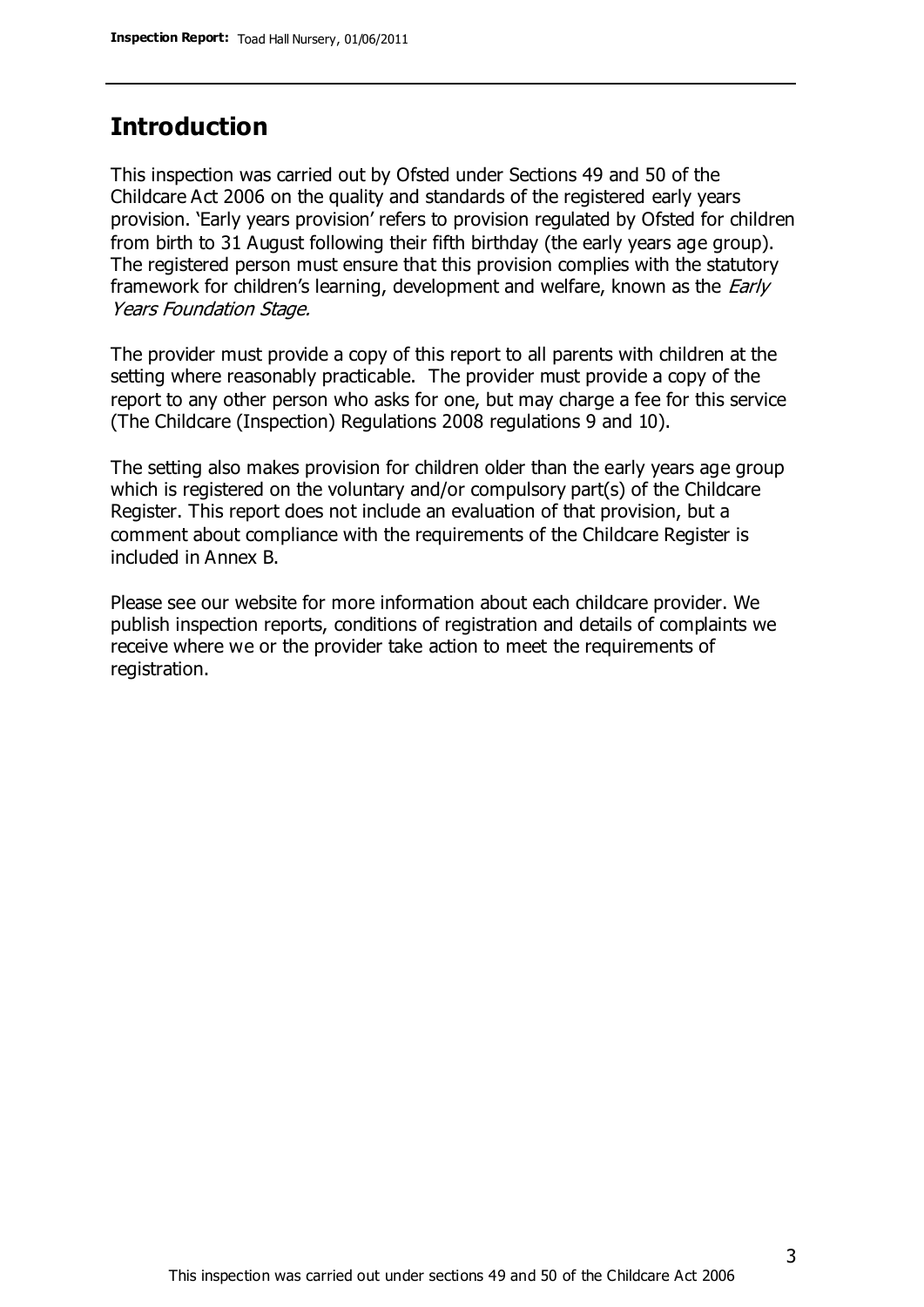## **Introduction**

This inspection was carried out by Ofsted under Sections 49 and 50 of the Childcare Act 2006 on the quality and standards of the registered early years provision. 'Early years provision' refers to provision regulated by Ofsted for children from birth to 31 August following their fifth birthday (the early years age group). The registered person must ensure that this provision complies with the statutory framework for children's learning, development and welfare, known as the *Early* Years Foundation Stage.

The provider must provide a copy of this report to all parents with children at the setting where reasonably practicable. The provider must provide a copy of the report to any other person who asks for one, but may charge a fee for this service (The Childcare (Inspection) Regulations 2008 regulations 9 and 10).

The setting also makes provision for children older than the early years age group which is registered on the voluntary and/or compulsory part(s) of the Childcare Register. This report does not include an evaluation of that provision, but a comment about compliance with the requirements of the Childcare Register is included in Annex B.

Please see our website for more information about each childcare provider. We publish inspection reports, conditions of registration and details of complaints we receive where we or the provider take action to meet the requirements of registration.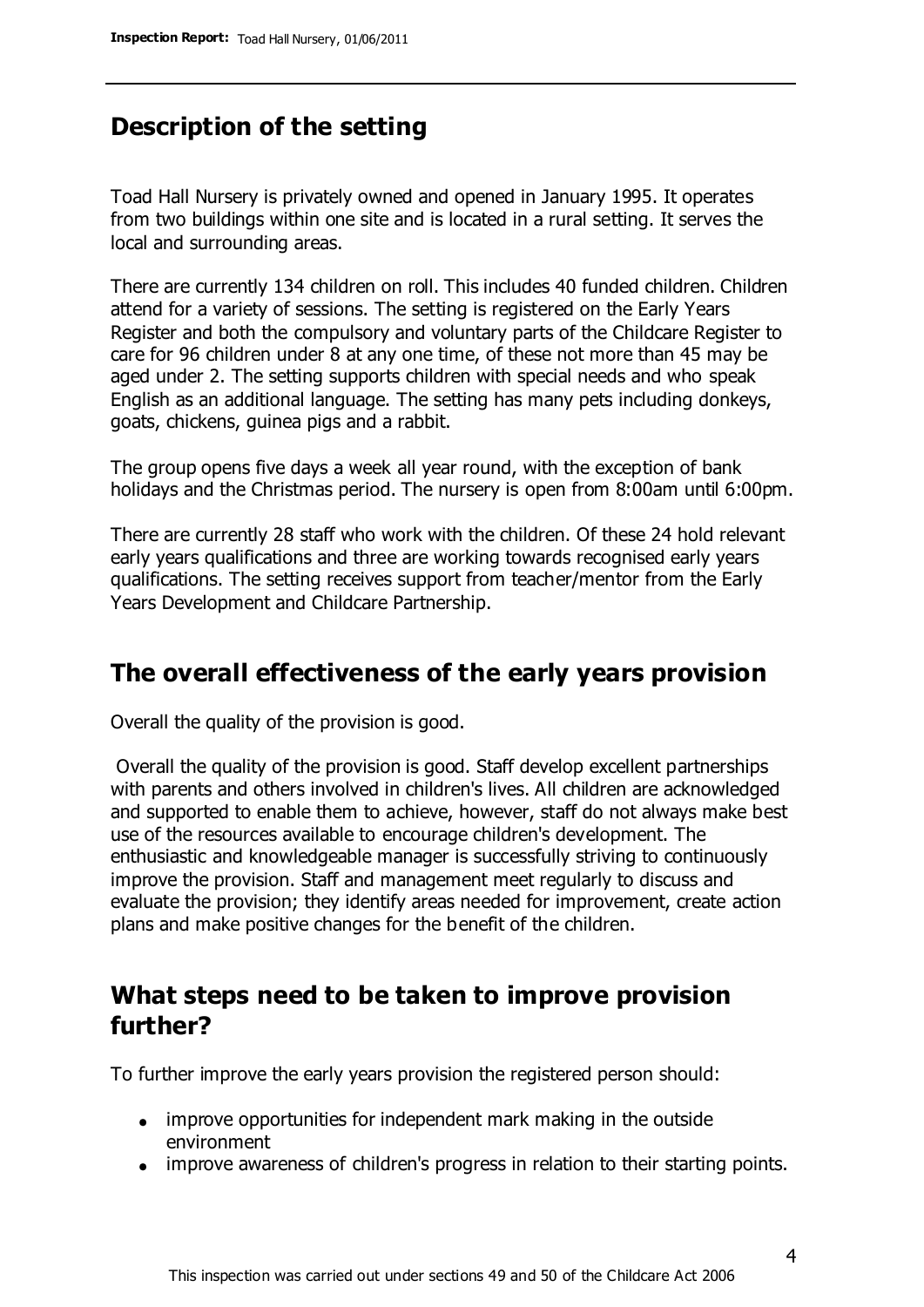# **Description of the setting**

Toad Hall Nursery is privately owned and opened in January 1995. It operates from two buildings within one site and is located in a rural setting. It serves the local and surrounding areas.

There are currently 134 children on roll. This includes 40 funded children. Children attend for a variety of sessions. The setting is registered on the Early Years Register and both the compulsory and voluntary parts of the Childcare Register to care for 96 children under 8 at any one time, of these not more than 45 may be aged under 2. The setting supports children with special needs and who speak English as an additional language. The setting has many pets including donkeys, goats, chickens, guinea pigs and a rabbit.

The group opens five days a week all year round, with the exception of bank holidays and the Christmas period. The nursery is open from 8:00am until 6:00pm.

There are currently 28 staff who work with the children. Of these 24 hold relevant early years qualifications and three are working towards recognised early years qualifications. The setting receives support from teacher/mentor from the Early Years Development and Childcare Partnership.

## **The overall effectiveness of the early years provision**

Overall the quality of the provision is good.

Overall the quality of the provision is good. Staff develop excellent partnerships with parents and others involved in children's lives. All children are acknowledged and supported to enable them to achieve, however, staff do not always make best use of the resources available to encourage children's development. The enthusiastic and knowledgeable manager is successfully striving to continuously improve the provision. Staff and management meet regularly to discuss and evaluate the provision; they identify areas needed for improvement, create action plans and make positive changes for the benefit of the children.

## **What steps need to be taken to improve provision further?**

To further improve the early years provision the registered person should:

- improve opportunities for independent mark making in the outside environment
- improve awareness of children's progress in relation to their starting points.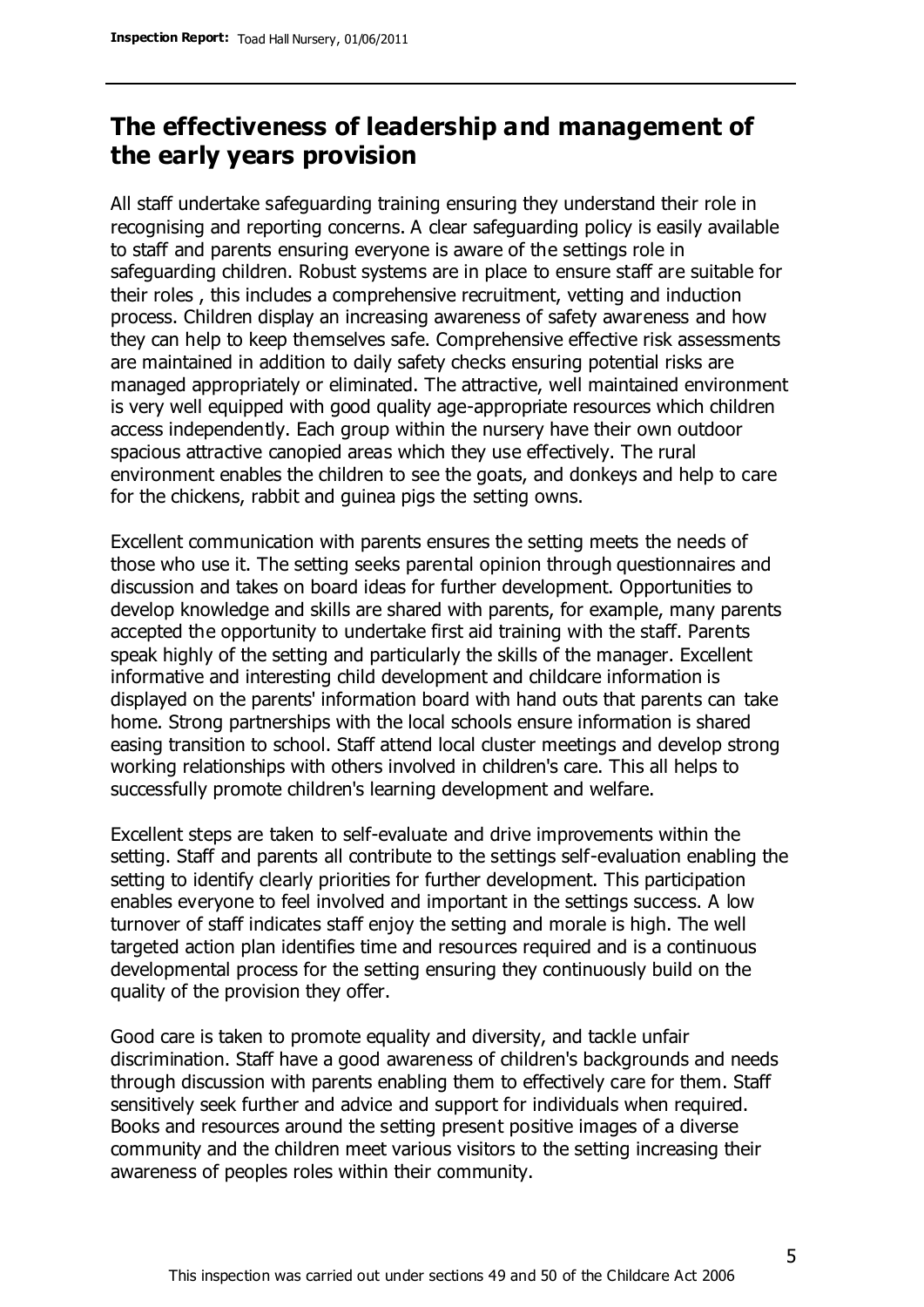# **The effectiveness of leadership and management of the early years provision**

All staff undertake safeguarding training ensuring they understand their role in recognising and reporting concerns. A clear safeguarding policy is easily available to staff and parents ensuring everyone is aware of the settings role in safeguarding children. Robust systems are in place to ensure staff are suitable for their roles , this includes a comprehensive recruitment, vetting and induction process. Children display an increasing awareness of safety awareness and how they can help to keep themselves safe. Comprehensive effective risk assessments are maintained in addition to daily safety checks ensuring potential risks are managed appropriately or eliminated. The attractive, well maintained environment is very well equipped with good quality age-appropriate resources which children access independently. Each group within the nursery have their own outdoor spacious attractive canopied areas which they use effectively. The rural environment enables the children to see the goats, and donkeys and help to care for the chickens, rabbit and guinea pigs the setting owns.

Excellent communication with parents ensures the setting meets the needs of those who use it. The setting seeks parental opinion through questionnaires and discussion and takes on board ideas for further development. Opportunities to develop knowledge and skills are shared with parents, for example, many parents accepted the opportunity to undertake first aid training with the staff. Parents speak highly of the setting and particularly the skills of the manager. Excellent informative and interesting child development and childcare information is displayed on the parents' information board with hand outs that parents can take home. Strong partnerships with the local schools ensure information is shared easing transition to school. Staff attend local cluster meetings and develop strong working relationships with others involved in children's care. This all helps to successfully promote children's learning development and welfare.

Excellent steps are taken to self-evaluate and drive improvements within the setting. Staff and parents all contribute to the settings self-evaluation enabling the setting to identify clearly priorities for further development. This participation enables everyone to feel involved and important in the settings success. A low turnover of staff indicates staff enjoy the setting and morale is high. The well targeted action plan identifies time and resources required and is a continuous developmental process for the setting ensuring they continuously build on the quality of the provision they offer.

Good care is taken to promote equality and diversity, and tackle unfair discrimination. Staff have a good awareness of children's backgrounds and needs through discussion with parents enabling them to effectively care for them. Staff sensitively seek further and advice and support for individuals when required. Books and resources around the setting present positive images of a diverse community and the children meet various visitors to the setting increasing their awareness of peoples roles within their community.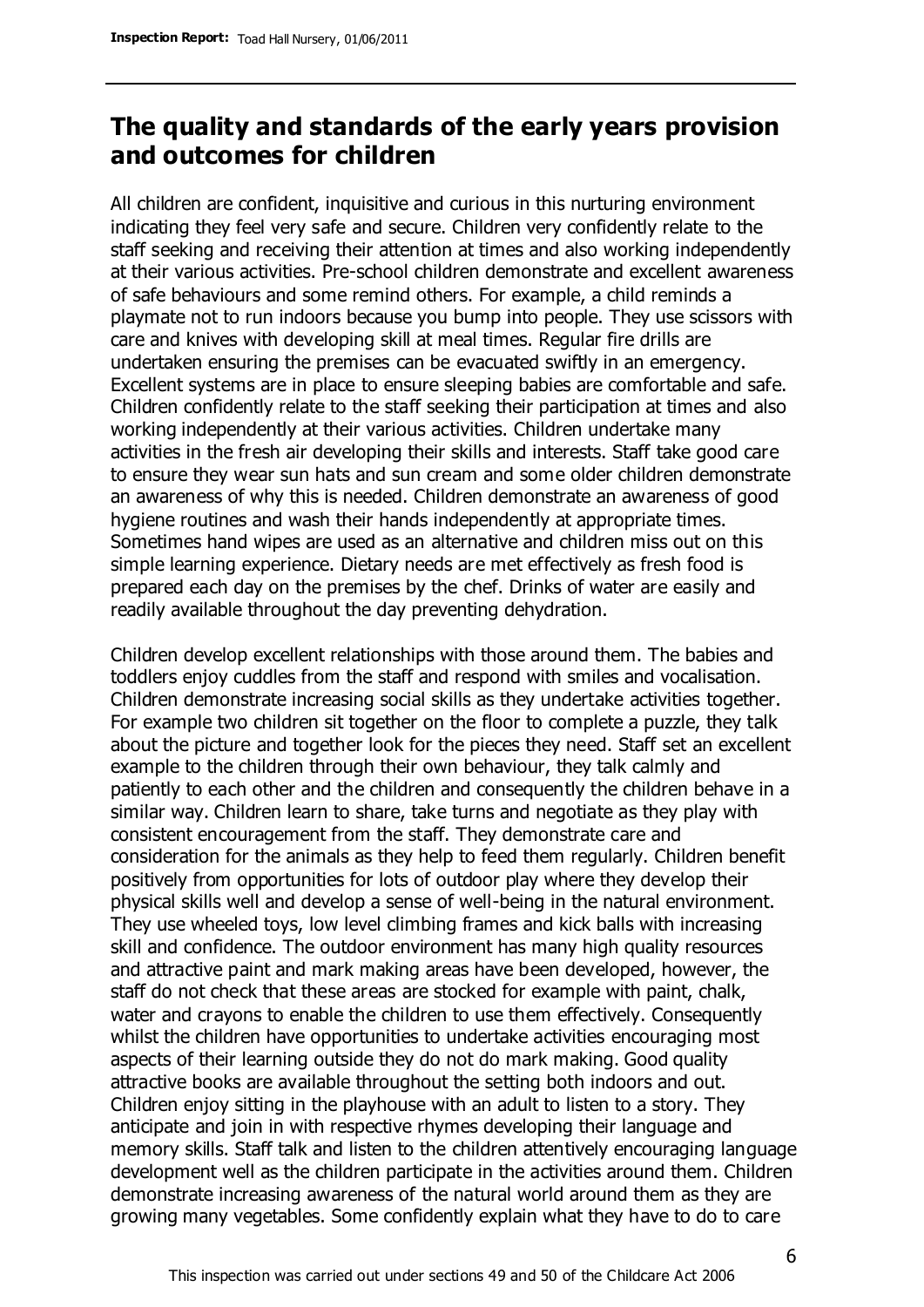# **The quality and standards of the early years provision and outcomes for children**

All children are confident, inquisitive and curious in this nurturing environment indicating they feel very safe and secure. Children very confidently relate to the staff seeking and receiving their attention at times and also working independently at their various activities. Pre-school children demonstrate and excellent awareness of safe behaviours and some remind others. For example, a child reminds a playmate not to run indoors because you bump into people. They use scissors with care and knives with developing skill at meal times. Regular fire drills are undertaken ensuring the premises can be evacuated swiftly in an emergency. Excellent systems are in place to ensure sleeping babies are comfortable and safe. Children confidently relate to the staff seeking their participation at times and also working independently at their various activities. Children undertake many activities in the fresh air developing their skills and interests. Staff take good care to ensure they wear sun hats and sun cream and some older children demonstrate an awareness of why this is needed. Children demonstrate an awareness of good hygiene routines and wash their hands independently at appropriate times. Sometimes hand wipes are used as an alternative and children miss out on this simple learning experience. Dietary needs are met effectively as fresh food is prepared each day on the premises by the chef. Drinks of water are easily and readily available throughout the day preventing dehydration.

Children develop excellent relationships with those around them. The babies and toddlers enjoy cuddles from the staff and respond with smiles and vocalisation. Children demonstrate increasing social skills as they undertake activities together. For example two children sit together on the floor to complete a puzzle, they talk about the picture and together look for the pieces they need. Staff set an excellent example to the children through their own behaviour, they talk calmly and patiently to each other and the children and consequently the children behave in a similar way. Children learn to share, take turns and negotiate as they play with consistent encouragement from the staff. They demonstrate care and consideration for the animals as they help to feed them regularly. Children benefit positively from opportunities for lots of outdoor play where they develop their physical skills well and develop a sense of well-being in the natural environment. They use wheeled toys, low level climbing frames and kick balls with increasing skill and confidence. The outdoor environment has many high quality resources and attractive paint and mark making areas have been developed, however, the staff do not check that these areas are stocked for example with paint, chalk, water and crayons to enable the children to use them effectively. Consequently whilst the children have opportunities to undertake activities encouraging most aspects of their learning outside they do not do mark making. Good quality attractive books are available throughout the setting both indoors and out. Children enjoy sitting in the playhouse with an adult to listen to a story. They anticipate and join in with respective rhymes developing their language and memory skills. Staff talk and listen to the children attentively encouraging language development well as the children participate in the activities around them. Children demonstrate increasing awareness of the natural world around them as they are growing many vegetables. Some confidently explain what they have to do to care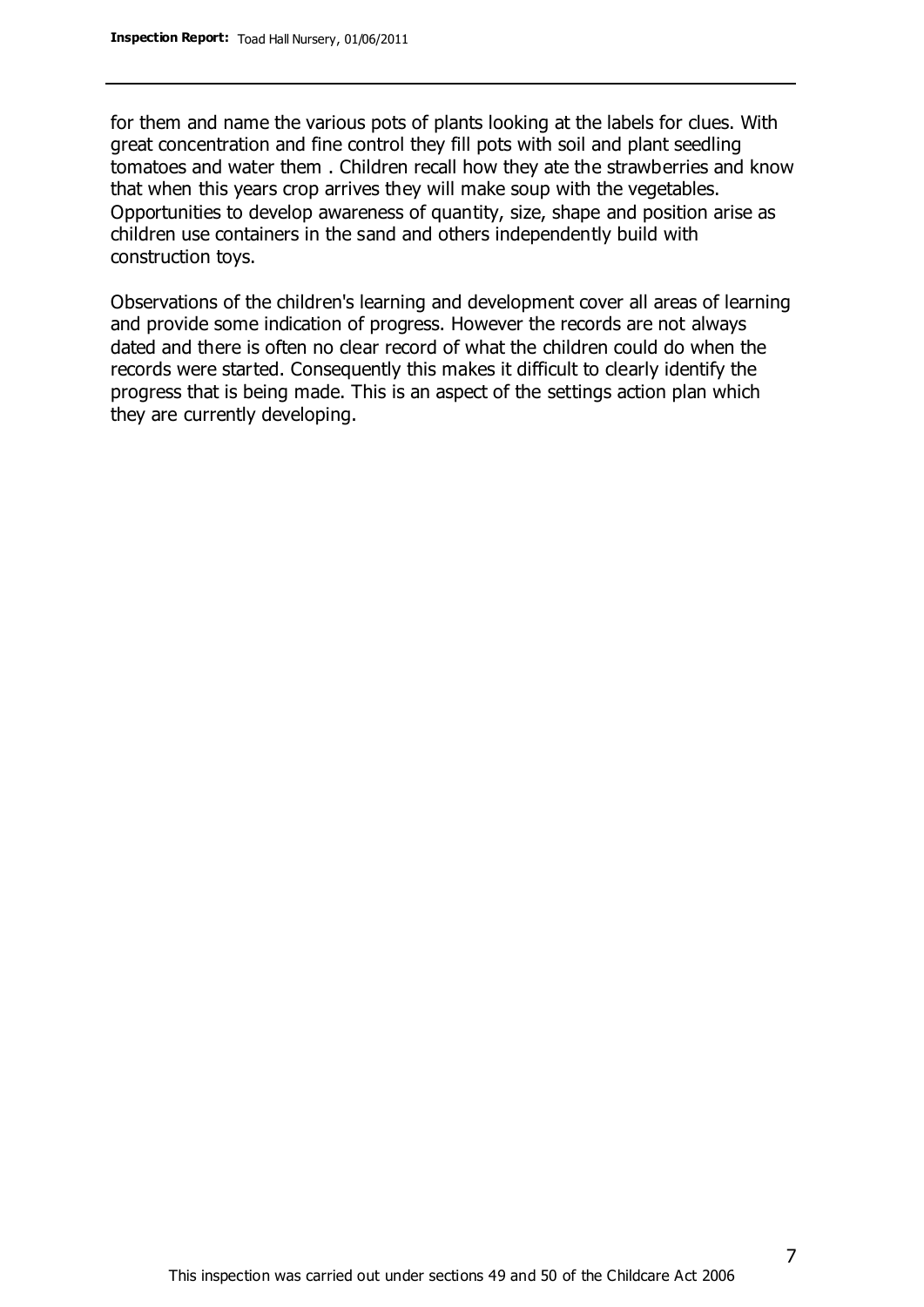for them and name the various pots of plants looking at the labels for clues. With great concentration and fine control they fill pots with soil and plant seedling tomatoes and water them . Children recall how they ate the strawberries and know that when this years crop arrives they will make soup with the vegetables. Opportunities to develop awareness of quantity, size, shape and position arise as children use containers in the sand and others independently build with construction toys.

Observations of the children's learning and development cover all areas of learning and provide some indication of progress. However the records are not always dated and there is often no clear record of what the children could do when the records were started. Consequently this makes it difficult to clearly identify the progress that is being made. This is an aspect of the settings action plan which they are currently developing.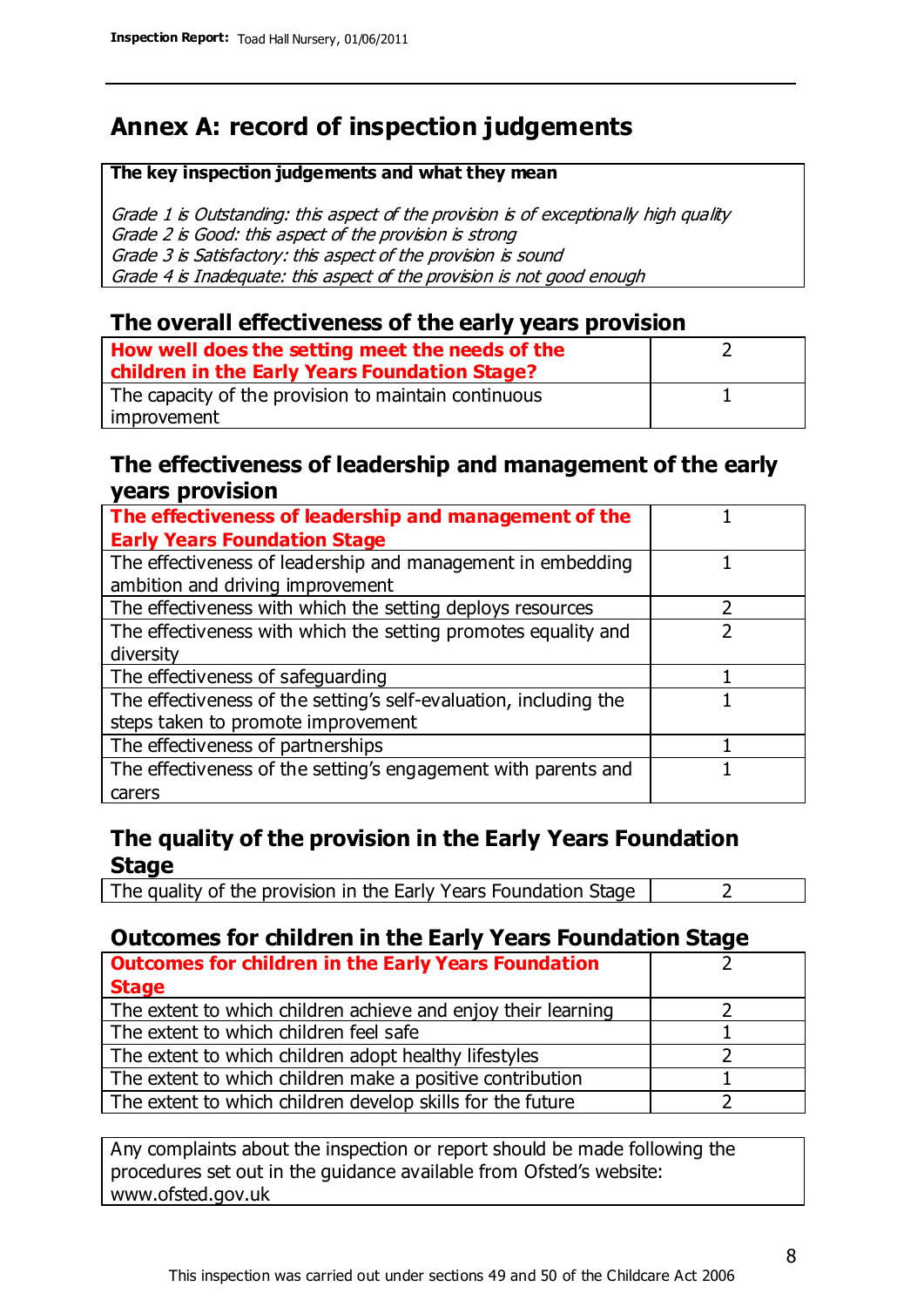# **Annex A: record of inspection judgements**

#### **The key inspection judgements and what they mean**

Grade 1 is Outstanding: this aspect of the provision is of exceptionally high quality Grade 2 is Good: this aspect of the provision is strong Grade 3 is Satisfactory: this aspect of the provision is sound Grade 4 is Inadequate: this aspect of the provision is not good enough

### **The overall effectiveness of the early years provision**

| How well does the setting meet the needs of the<br>children in the Early Years Foundation Stage? |  |
|--------------------------------------------------------------------------------------------------|--|
| The capacity of the provision to maintain continuous                                             |  |
| improvement                                                                                      |  |

### **The effectiveness of leadership and management of the early years provision**

| The effectiveness of leadership and management of the             |  |
|-------------------------------------------------------------------|--|
| <b>Early Years Foundation Stage</b>                               |  |
| The effectiveness of leadership and management in embedding       |  |
| ambition and driving improvement                                  |  |
| The effectiveness with which the setting deploys resources        |  |
| The effectiveness with which the setting promotes equality and    |  |
| diversity                                                         |  |
| The effectiveness of safeguarding                                 |  |
| The effectiveness of the setting's self-evaluation, including the |  |
| steps taken to promote improvement                                |  |
| The effectiveness of partnerships                                 |  |
| The effectiveness of the setting's engagement with parents and    |  |
| carers                                                            |  |

## **The quality of the provision in the Early Years Foundation Stage**

The quality of the provision in the Early Years Foundation Stage  $\vert$  2

## **Outcomes for children in the Early Years Foundation Stage**

| <b>Outcomes for children in the Early Years Foundation</b>    |  |
|---------------------------------------------------------------|--|
| <b>Stage</b>                                                  |  |
| The extent to which children achieve and enjoy their learning |  |
| The extent to which children feel safe                        |  |
| The extent to which children adopt healthy lifestyles         |  |
| The extent to which children make a positive contribution     |  |
| The extent to which children develop skills for the future    |  |

Any complaints about the inspection or report should be made following the procedures set out in the guidance available from Ofsted's website: www.ofsted.gov.uk